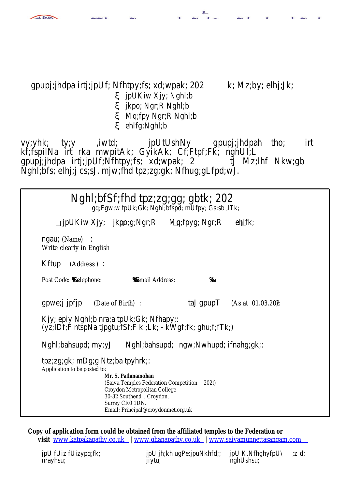## gpupj;jhdpa irtj;jpUf; Nfhtpy;fs; xd;wpak; 202 k; Mz;by; elhj;Jk; x jpUKiw Xjy; Nghl;b x jkpo; Ngr;R Nghl;b x Mq;fpy Ngr;R Nghl;b x ehlfg;Nghl;b

vy;yhk; ty;y ,iwtd; jpUtUshNy gpupj;jhdpah tho; irt kf;fspilNa irt rka mwpitAk; GyikAk; Cf;Ftpf;Fk; nghUl;L gpupj;jhdpa irtj;jpUf;Nfhtpy;fs; xd;wpak; 2 tJ Mz;lhf Nkw;gb Nghl;bfs; elhj;j cs;sJ. mjw;fhd tpz;zg;gk; Nfhug;gLfpd;wJ.

| Nghl;bfSf;fhd tpz;zg;gg; gbtk; 202<br>gq;Fgw;w tpUk;Gk; Nghl;bfspd; mUfpy; Gs;sb ,ITk;                                                                                                                                                                 |
|--------------------------------------------------------------------------------------------------------------------------------------------------------------------------------------------------------------------------------------------------------|
| $\epsilon$ hlfk;<br>□ jpUKiw Xjy; jkpo;g;Ngr;R<br>Md;fpyg; Ngr;R                                                                                                                                                                                       |
| ngau; (Name) :<br>Writeclearly inEnglish                                                                                                                                                                                                               |
| Kftup (Address) :                                                                                                                                                                                                                                      |
|                                                                                                                                                                                                                                                        |
| gpwe;jjpfjp<br>taJ gpup $T$ (As at 01.03.20 $\alpha$ )<br>(Date oBirth) :                                                                                                                                                                              |
| Kjy; epiy Nghl;b nra;a tpUk;Gk; Nfhapy;:<br>(yz;IDf;F ntspNa tjpgtu;fSf;F kI;Lk; - kWgf;fk; ghu;f;fTk;)                                                                                                                                                |
| Nghl;bahsupd; my;yJ Nghl;bahsupd;ngw;Nwhupd; ifnahg;gk;:                                                                                                                                                                                               |
| tpz;zg;gk; mDg;g Ntz;ba tpyhrk;:<br>Application to be posted to:<br>Mr. S. Pathmamohan<br>(Saiva Temples Federation Competiti 202 t)<br>Croydon Metropolitan College<br>30-32 Southendroydon,<br>Surrey CRO 1DN.<br>Email: Principal@croydonmet.org.uk |

**Copy of application form could be obtained from the affiliated temples to the Federation or**  visit [www.katpakapathy.co.](http://www.katpakapathy.co.uk/)ukwww.ghanapathy.co.ukwww.saivamunnettasangam.com

jpU fUiz fUizypq;fk; jpU jh;kh ugPe;jpuNkhfd;; jpU K.NfhghyfpU\;z d; nrayhsu; intervention in its intervention in the manufacture of the manufacture of the manufacture of the manuf